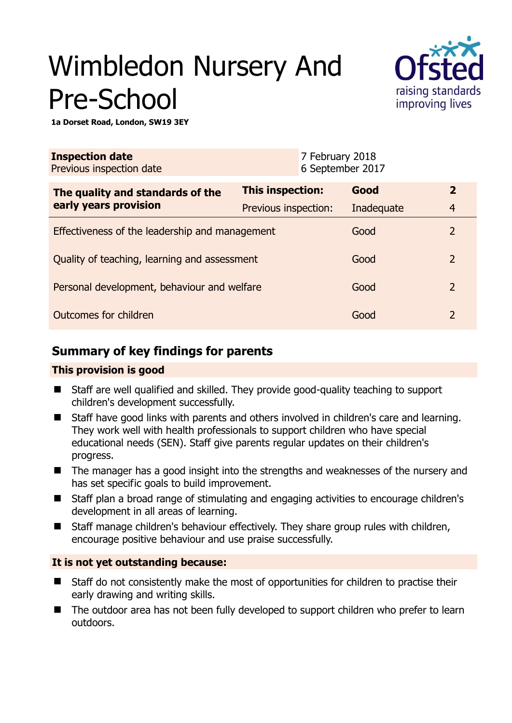# Wimbledon Nursery And Pre-School



**1a Dorset Road, London, SW19 3EY** 

| <b>Inspection date</b><br>Previous inspection date        |                         | 7 February 2018<br>6 September 2017 |            |                |
|-----------------------------------------------------------|-------------------------|-------------------------------------|------------|----------------|
| The quality and standards of the<br>early years provision | <b>This inspection:</b> |                                     | Good       | $\overline{2}$ |
|                                                           | Previous inspection:    |                                     | Inadequate | $\overline{4}$ |
| Effectiveness of the leadership and management            |                         |                                     | Good       | $\overline{2}$ |
| Quality of teaching, learning and assessment              |                         |                                     | Good       | $\overline{2}$ |
| Personal development, behaviour and welfare               |                         |                                     | Good       | $\overline{2}$ |
| Outcomes for children                                     |                         |                                     | Good       | $\overline{2}$ |

# **Summary of key findings for parents**

## **This provision is good**

- Staff are well qualified and skilled. They provide good-quality teaching to support children's development successfully.
- Staff have good links with parents and others involved in children's care and learning. They work well with health professionals to support children who have special educational needs (SEN). Staff give parents regular updates on their children's progress.
- The manager has a good insight into the strengths and weaknesses of the nursery and has set specific goals to build improvement.
- Staff plan a broad range of stimulating and engaging activities to encourage children's development in all areas of learning.
- Staff manage children's behaviour effectively. They share group rules with children, encourage positive behaviour and use praise successfully.

## **It is not yet outstanding because:**

- Staff do not consistently make the most of opportunities for children to practise their early drawing and writing skills.
- The outdoor area has not been fully developed to support children who prefer to learn outdoors.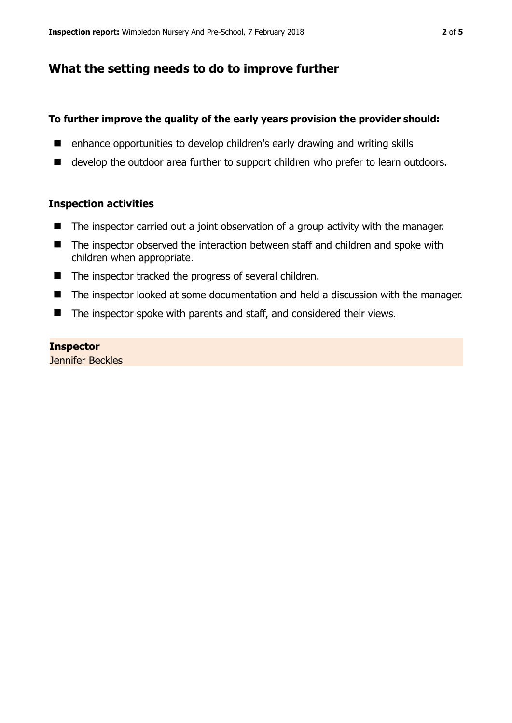# **What the setting needs to do to improve further**

### **To further improve the quality of the early years provision the provider should:**

- enhance opportunities to develop children's early drawing and writing skills
- develop the outdoor area further to support children who prefer to learn outdoors.

#### **Inspection activities**

- The inspector carried out a joint observation of a group activity with the manager.
- The inspector observed the interaction between staff and children and spoke with children when appropriate.
- The inspector tracked the progress of several children.
- The inspector looked at some documentation and held a discussion with the manager.
- The inspector spoke with parents and staff, and considered their views.

#### **Inspector**

Jennifer Beckles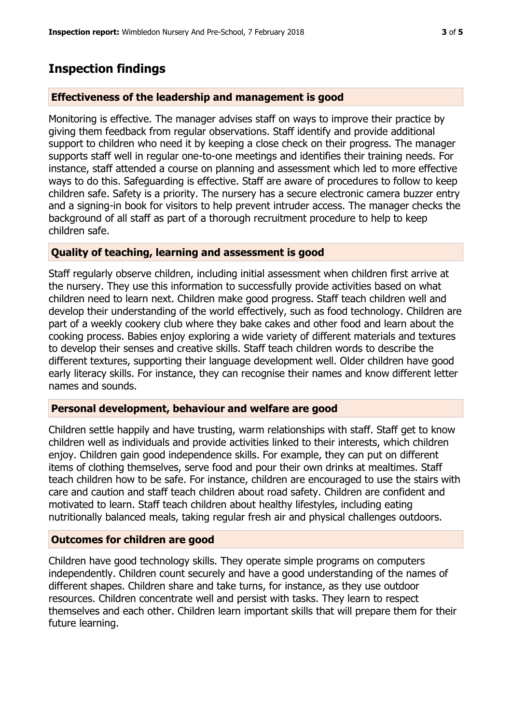# **Inspection findings**

#### **Effectiveness of the leadership and management is good**

Monitoring is effective. The manager advises staff on ways to improve their practice by giving them feedback from regular observations. Staff identify and provide additional support to children who need it by keeping a close check on their progress. The manager supports staff well in regular one-to-one meetings and identifies their training needs. For instance, staff attended a course on planning and assessment which led to more effective ways to do this. Safeguarding is effective. Staff are aware of procedures to follow to keep children safe. Safety is a priority. The nursery has a secure electronic camera buzzer entry and a signing-in book for visitors to help prevent intruder access. The manager checks the background of all staff as part of a thorough recruitment procedure to help to keep children safe.

#### **Quality of teaching, learning and assessment is good**

Staff regularly observe children, including initial assessment when children first arrive at the nursery. They use this information to successfully provide activities based on what children need to learn next. Children make good progress. Staff teach children well and develop their understanding of the world effectively, such as food technology. Children are part of a weekly cookery club where they bake cakes and other food and learn about the cooking process. Babies enjoy exploring a wide variety of different materials and textures to develop their senses and creative skills. Staff teach children words to describe the different textures, supporting their language development well. Older children have good early literacy skills. For instance, they can recognise their names and know different letter names and sounds.

#### **Personal development, behaviour and welfare are good**

Children settle happily and have trusting, warm relationships with staff. Staff get to know children well as individuals and provide activities linked to their interests, which children enjoy. Children gain good independence skills. For example, they can put on different items of clothing themselves, serve food and pour their own drinks at mealtimes. Staff teach children how to be safe. For instance, children are encouraged to use the stairs with care and caution and staff teach children about road safety. Children are confident and motivated to learn. Staff teach children about healthy lifestyles, including eating nutritionally balanced meals, taking regular fresh air and physical challenges outdoors.

#### **Outcomes for children are good**

Children have good technology skills. They operate simple programs on computers independently. Children count securely and have a good understanding of the names of different shapes. Children share and take turns, for instance, as they use outdoor resources. Children concentrate well and persist with tasks. They learn to respect themselves and each other. Children learn important skills that will prepare them for their future learning.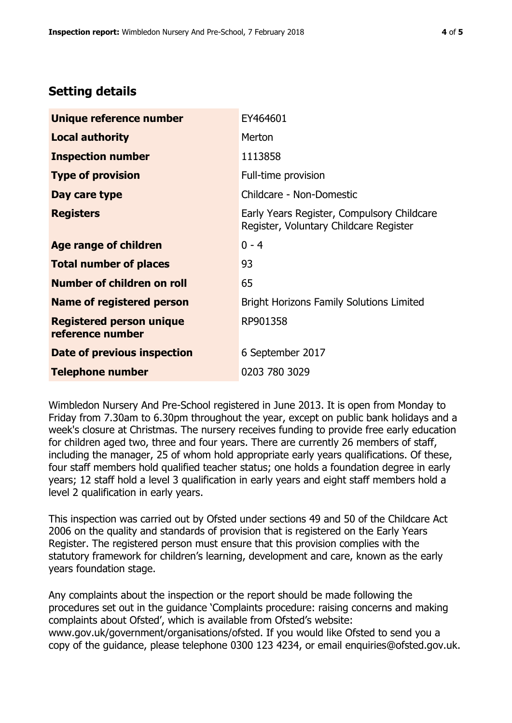## **Setting details**

| Unique reference number                             | EY464601                                                                             |  |
|-----------------------------------------------------|--------------------------------------------------------------------------------------|--|
| <b>Local authority</b>                              | Merton                                                                               |  |
| <b>Inspection number</b>                            | 1113858                                                                              |  |
| <b>Type of provision</b>                            | Full-time provision                                                                  |  |
| Day care type                                       | Childcare - Non-Domestic                                                             |  |
| <b>Registers</b>                                    | Early Years Register, Compulsory Childcare<br>Register, Voluntary Childcare Register |  |
| Age range of children                               | $0 - 4$                                                                              |  |
| <b>Total number of places</b>                       | 93                                                                                   |  |
| <b>Number of children on roll</b>                   | 65                                                                                   |  |
| Name of registered person                           | <b>Bright Horizons Family Solutions Limited</b>                                      |  |
| <b>Registered person unique</b><br>reference number | RP901358                                                                             |  |
| Date of previous inspection                         | 6 September 2017                                                                     |  |
| <b>Telephone number</b>                             | 0203 780 3029                                                                        |  |

Wimbledon Nursery And Pre-School registered in June 2013. It is open from Monday to Friday from 7.30am to 6.30pm throughout the year, except on public bank holidays and a week's closure at Christmas. The nursery receives funding to provide free early education for children aged two, three and four years. There are currently 26 members of staff, including the manager, 25 of whom hold appropriate early years qualifications. Of these, four staff members hold qualified teacher status; one holds a foundation degree in early years; 12 staff hold a level 3 qualification in early years and eight staff members hold a level 2 qualification in early years.

This inspection was carried out by Ofsted under sections 49 and 50 of the Childcare Act 2006 on the quality and standards of provision that is registered on the Early Years Register. The registered person must ensure that this provision complies with the statutory framework for children's learning, development and care, known as the early years foundation stage.

Any complaints about the inspection or the report should be made following the procedures set out in the guidance 'Complaints procedure: raising concerns and making complaints about Ofsted', which is available from Ofsted's website: www.gov.uk/government/organisations/ofsted. If you would like Ofsted to send you a copy of the guidance, please telephone 0300 123 4234, or email enquiries@ofsted.gov.uk.